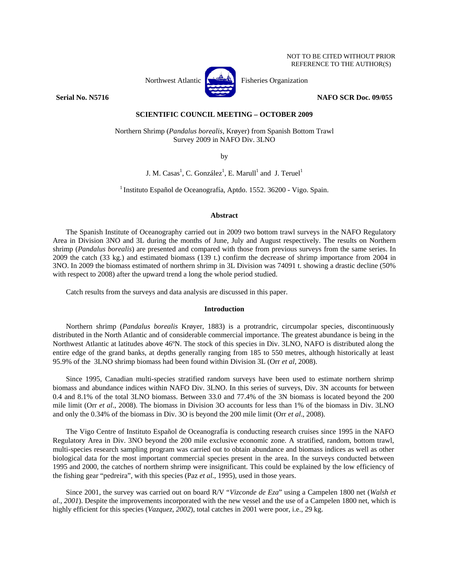Northwest Atlantic Fisheries Organization

# **Serial No. N5716 NAFO SCR Doc. 09/055**

# **SCIENTIFIC COUNCIL MEETING – OCTOBER 2009**

Northern Shrimp (*Pandalus borealis*, Krøyer) from Spanish Bottom Trawl Survey 2009 in NAFO Div. 3LNO

by

J. M.  $\text{Casa}^1$ , C. González<sup>1</sup>, E. Marull<sup>1</sup> and J. Teruel<sup>1</sup>

1 Instituto Español de Oceanografía, Aptdo. 1552. 36200 - Vigo. Spain.

## **Abstract**

The Spanish Institute of Oceanography carried out in 2009 two bottom trawl surveys in the NAFO Regulatory Area in Division 3NO and 3L during the months of June, July and August respectively. The results on Northern shrimp (*Pandalus borealis*) are presented and compared with those from previous surveys from the same series. In 2009 the catch (33 kg.) and estimated biomass (139 t.) confirm the decrease of shrimp importance from 2004 in 3NO. In 2009 the biomass estimated of northern shrimp in 3L Division was 74091 t. showing a drastic decline (50% with respect to 2008) after the upward trend a long the whole period studied.

Catch results from the surveys and data analysis are discussed in this paper.

### **Introduction**

Northern shrimp (*Pandalus borealis* Krøyer, 1883) is a protrandric, circumpolar species, discontinuously distributed in the North Atlantic and of considerable commercial importance. The greatest abundance is being in the Northwest Atlantic at latitudes above 46ºN. The stock of this species in Div. 3LNO, NAFO is distributed along the entire edge of the grand banks, at depths generally ranging from 185 to 550 metres, although historically at least 95.9% of the 3LNO shrimp biomass had been found within Division 3L (Orr *et al*, 2008).

Since 1995, Canadian multi-species stratified random surveys have been used to estimate northern shrimp biomass and abundance indices within NAFO Div. 3LNO. In this series of surveys, Div. 3N accounts for between 0.4 and 8.1% of the total 3LNO biomass. Between 33.0 and 77.4% of the 3N biomass is located beyond the 200 mile limit (Orr *et al*., 2008). The biomass in Division 3O accounts for less than 1% of the biomass in Div. 3LNO and only the 0.34% of the biomass in Div. 3O is beyond the 200 mile limit (Orr *et al*., 2008).

The Vigo Centre of Instituto Español de Oceanografía is conducting research cruises since 1995 in the NAFO Regulatory Area in Div. 3NO beyond the 200 mile exclusive economic zone. A stratified, random, bottom trawl, multi-species research sampling program was carried out to obtain abundance and biomass indices as well as other biological data for the most important commercial species present in the area. In the surveys conducted between 1995 and 2000, the catches of northern shrimp were insignificant. This could be explained by the low efficiency of the fishing gear "pedreira", with this species (Paz *et al*., 1995), used in those years.

Since 2001, the survey was carried out on board R/V "*Vizconde de Eza*" using a Campelen 1800 net (*Walsh et al., 2001*). Despite the improvements incorporated with the new vessel and the use of a Campelen 1800 net, which is highly efficient for this species (*Vazquez*, 2002), total catches in 2001 were poor, i.e., 29 kg.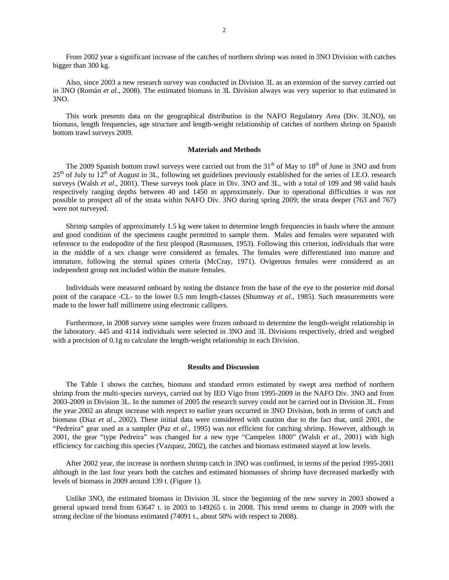From 2002 year a significant increase of the catches of northern shrimp was noted in 3NO Division with catches bigger than 300 kg.

Also, since 2003 a new research survey was conducted in Division 3L as an extension of the survey carried out in 3NO (Román *et al.*, 2008). The estimated biomass in 3L Division always was very superior to that estimated in 3NO.

This work presents data on the geographical distribution in the NAFO Regulatory Area (Div. 3LNO), on biomass, length frequencies, age structure and length-weight relationship of catches of northern shrimp on Spanish bottom trawl surveys 2009.

## **Materials and Methods**

The 2009 Spanish bottom trawl surveys were carried out from the  $31<sup>th</sup>$  of May to  $18<sup>th</sup>$  of June in 3NO and from  $25<sup>th</sup>$  of July to  $12<sup>th</sup>$  of August in 3L, following set guidelines previously established for the series of I.E.O. research surveys (Walsh *et al.*, 2001). These surveys took place in Div. 3NO and 3L, with a total of 109 and 98 valid hauls respectively ranging depths between 40 and 1450 m approximately. Due to operational difficulties it was not possible to prospect all of the strata within NAFO Div. 3NO during spring 2009; the strata deeper (763 and 767) were not surveyed.

Shrimp samples of approximately 1.5 kg were taken to determine length frequencies in hauls where the amount and good condition of the specimens caught permitted to sample them. Males and females were separated with reference to the endopodite of the first pleopod (Rasmussen, 1953). Following this criterion, individuals that were in the middle of a sex change were considered as females. The females were differentiated into mature and immature, following the sternal spines criteria (McCray, 1971). Ovigerous females were considered as an independent group not included within the mature females.

Individuals were measured onboard by noting the distance from the base of the eye to the posterior mid dorsal point of the carapace -CL- to the lower 0.5 mm length-classes (Shumway *et al*., 1985). Such measurements were made to the lower half millimetre using electronic callipers.

Furthermore, in 2008 survey some samples were frozen onboard to determine the length-weight relationship in the laboratory. 445 and 4114 individuals were selected in 3NO and 3L Divisions respectively, dried and weighed with a precision of 0.1g to calculate the length-weight relationship in each Division.

#### **Results and Discussion**

The Table 1 shows the catches, biomass and standard errors estimated by swept area method of northern shrimp from the multi-species surveys, carried out by IEO Vigo from 1995-2009 in the NAFO Div. 3NO and from 2003-2009 in Division 3L. In the summer of 2005 the research survey could not be carried out in Division 3L. From the year 2002 an abrupt increase with respect to earlier years occurred in 3NO Division, both in terms of catch and biomass (Diaz *et al*., 2002). These initial data were considered with caution due to the fact that, until 2001, the "Pedreira" gear used as a sampler (Paz *et al*., 1995) was not efficient for catching shrimp. However, although in 2001, the gear "type Pedreira" was changed for a new type "Campelen 1800" (Walsh *et al*., 2001) with high efficiency for catching this species (Vazquez, 2002), the catches and biomass estimated stayed at low levels.

After 2002 year, the increase in northern shrimp catch in 3NO was confirmed, in terms of the period 1995-2001 although in the last four years both the catches and estimated biomasses of shrimp have decreased markedly with levels of biomass in 2009 around 139 t. (Figure 1).

Unlike 3NO, the estimated biomass in Division 3L since the beginning of the new survey in 2003 showed a general upward trend from 63647 t. in 2003 to 149265 t. in 2008. This trend seems to change in 2009 with the strong decline of the biomass estimated (74091 t., about 50% with respect to 2008).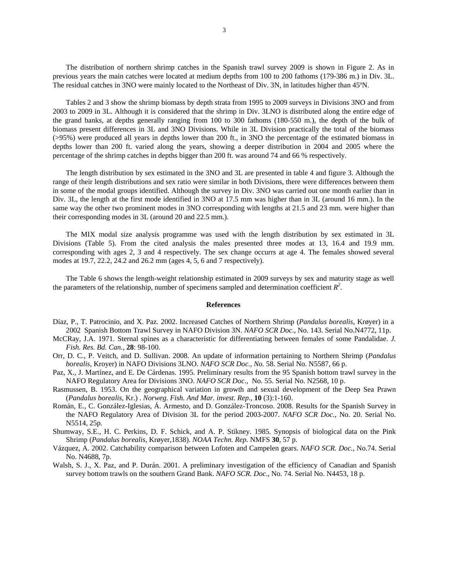The distribution of northern shrimp catches in the Spanish trawl survey 2009 is shown in Figure 2. As in previous years the main catches were located at medium depths from 100 to 200 fathoms (179-386 m.) in Div. 3L. The residual catches in 3NO were mainly located to the Northeast of Div. 3N, in latitudes higher than 45ºN.

Tables 2 and 3 show the shrimp biomass by depth strata from 1995 to 2009 surveys in Divisions 3NO and from 2003 to 2009 in 3L. Although it is considered that the shrimp in Div. 3LNO is distributed along the entire edge of the grand banks, at depths generally ranging from 100 to 300 fathoms (180-550 m.), the depth of the bulk of biomass present differences in 3L and 3NO Divisions. While in 3L Division practically the total of the biomass (>95%) were produced all years in depths lower than 200 ft., in 3NO the percentage of the estimated biomass in depths lower than 200 ft. varied along the years, showing a deeper distribution in 2004 and 2005 where the percentage of the shrimp catches in depths bigger than 200 ft. was around 74 and 66 % respectively.

The length distribution by sex estimated in the 3NO and 3L are presented in table 4 and figure 3. Although the range of their length distributions and sex ratio were similar in both Divisions, there were differences between them in some of the modal groups identified. Although the survey in Div. 3NO was carried out one month earlier than in Div. 3L, the length at the first mode identified in 3NO at 17.5 mm was higher than in 3L (around 16 mm.). In the same way the other two prominent modes in 3NO corresponding with lengths at 21.5 and 23 mm. were higher than their corresponding modes in 3L (around 20 and 22.5 mm.).

The MIX modal size analysis programme was used with the length distribution by sex estimated in 3L Divisions (Table 5). From the cited analysis the males presented three modes at 13, 16.4 and 19.9 mm. corresponding with ages 2, 3 and 4 respectively. The sex change occurrs at age 4. The females showed several modes at 19.7, 22.2, 24.2 and 26.2 mm (ages 4, 5, 6 and 7 respectively).

The Table 6 shows the length-weight relationship estimated in 2009 surveys by sex and maturity stage as well the parameters of the relationship, number of specimens sampled and determination coefficient  $R^2$ .

#### **References**

- Díaz, P., T. Patrocinio, and X. Paz. 2002. Increased Catches of Northern Shrimp (*Pandalus borealis*, Krøyer) in a 2002 Spanish Bottom Trawl Survey in NAFO Division 3N. *NAFO SCR Doc*., No. 143. Serial No.N4772, 11p.
- McCRay, J.A. 1971. Sternal spines as a characteristic for differentiating between females of some Pandalidae. *J. Fish. Res. Bd. Can.*, **28**: 98-100.
- Orr, D. C., P. Veitch, and D. Sullivan. 2008. An update of information pertaining to Northern Shrimp (*Pandalus borealis*, Kroyer) in NAFO Divisions 3LNO. *NAFO SCR Doc., No.* 58. Serial No. N5587, 66 p.
- Paz, X., J. Martínez, and E. De Cárdenas. 1995. Preliminary results from the 95 Spanish bottom trawl survey in the NAFO Regulatory Area for Divisions 3NO. *NAFO SCR Doc*., No. 55. Serial No. N2568, 10 p.
- Rasmussen, B. 1953. On the geographical variation in growth and sexual development of the Deep Sea Prawn (*Pandalus borealis*, Kr.) . *Norweg. Fish. And Mar. invest. Rep*., **10** (3):1-160.
- Román, E., C. González-Iglesias, Á. Armesto, and D. González-Troncoso. 2008. Results for the Spanish Survey in the NAFO Regulatory Area of Division 3L for the period 2003-2007. *NAFO SCR Doc*., No. 20. Serial No. N5514, 25p.
- Shumway, S.E., H. C. Perkins, D. F. Schick, and A. P. Stikney. 1985. Synopsis of biological data on the Pink Shrimp (*Pandalus borealis*, Krøyer,1838). *NOAA Techn. Rep.* NMFS **30**, 57 p.
- Vázquez, A. 2002. Catchability comparison between Lofoten and Campelen gears. *NAFO SCR. Doc.,* No.74. Serial No. N4688, 7p.
- Walsh, S. J., X. Paz, and P. Durán. 2001. A preliminary investigation of the efficiency of Canadian and Spanish survey bottom trawls on the southern Grand Bank. *NAFO SCR. Doc*., No. 74. Serial No. N4453, 18 p.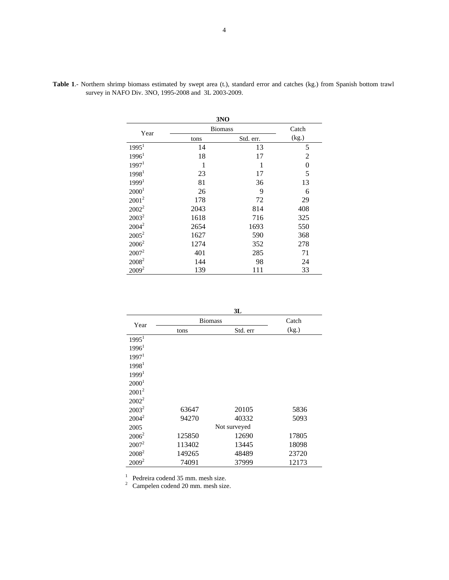|                   |                | 3NO       |       |
|-------------------|----------------|-----------|-------|
| Year              | <b>Biomass</b> |           | Catch |
|                   | tons           | Std. err. | (kg.) |
| 1995 <sup>1</sup> | 14             | 13        | 5     |
| $1996^1$          | 18             | 17        | 2     |
| 1997 <sup>1</sup> | 1              | 1         | 0     |
| 1998 <sup>1</sup> | 23             | 17        | 5     |
| 1999 <sup>1</sup> | 81             | 36        | 13    |
| 2000 <sup>1</sup> | 26             | 9         | 6     |
| $2001^2$          | 178            | 72        | 29    |
| $2002^2$          | 2043           | 814       | 408   |
| $2003^2$          | 1618           | 716       | 325   |
| $2004^2$          | 2654           | 1693      | 550   |
| $2005^2$          | 1627           | 590       | 368   |
| $2006^2$          | 1274           | 352       | 278   |
| $2007^2$          | 401            | 285       | 71    |
| 2008 <sup>2</sup> | 144            | 98        | 24    |
| $2009^2$          | 139            | 111       | 33    |

**Table 1**.- Northern shrimp biomass estimated by swept area (t.), standard error and catches (kg.) from Spanish bottom trawl survey in NAFO Div. 3NO, 1995-2008 and 3L 2003-2009.

|                     | ٧ |  |
|---------------------|---|--|
| ۰.<br>۰,<br>×<br>۰. |   |  |

|                   |                | JЦ           |       |
|-------------------|----------------|--------------|-------|
| Year              | <b>Biomass</b> |              | Catch |
|                   | tons           | Std. err     | (kg.) |
| 1995 <sup>1</sup> |                |              |       |
| 1996 <sup>1</sup> |                |              |       |
| 1997 <sup>1</sup> |                |              |       |
| 1998 <sup>1</sup> |                |              |       |
| 1999 <sup>1</sup> |                |              |       |
| 2000 <sup>1</sup> |                |              |       |
| $2001^2$          |                |              |       |
| $2002^2$          |                |              |       |
| $2003^2$          | 63647          | 20105        | 5836  |
| $2004^2$          | 94270          | 40332        | 5093  |
| 2005              |                | Not surveyed |       |
| $2006^2$          | 125850         | 12690        | 17805 |
| $2007^2$          | 113402         | 13445        | 18098 |
| $2008^2$          | 149265         | 48489        | 23720 |
| $2009^2$          | 74091          | 37999        | 12173 |

<sup>1</sup> Pedreira codend 35 mm. mesh size.<br><sup>2</sup> Campelen codend 20 mm. mesh size.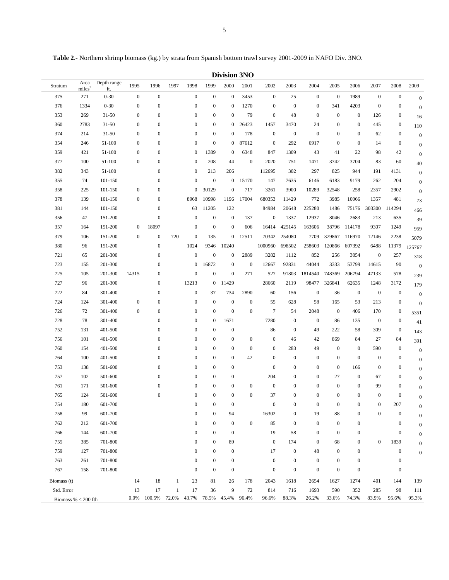**Table 2**.- Northern shrimp biomass (kg.) by strata from Spanish bottom trawl survey 2001-2009 in NAFO Div. 3NO.

**Division 3NO** 

| Stratum               | Area<br>miles <sup>2</sup> | Depth range<br>ft. | 1995             | 1996             | 1997         | 1998             | 1999             | 2000             | 2001             | 2002             | 2003             | 2004             | 2005             | 2006             | 2007             | 2008             | 2009             |
|-----------------------|----------------------------|--------------------|------------------|------------------|--------------|------------------|------------------|------------------|------------------|------------------|------------------|------------------|------------------|------------------|------------------|------------------|------------------|
| 375                   | 271                        | $0 - 30$           | $\boldsymbol{0}$ | $\boldsymbol{0}$ |              | $\boldsymbol{0}$ | $\mathbf{0}$     | $\boldsymbol{0}$ | 3453             | $\boldsymbol{0}$ | 25               | $\boldsymbol{0}$ | $\boldsymbol{0}$ | 1989             | $\boldsymbol{0}$ | $\boldsymbol{0}$ | $\boldsymbol{0}$ |
| 376                   | 1334                       | $0 - 30$           | $\boldsymbol{0}$ | $\boldsymbol{0}$ |              | $\boldsymbol{0}$ | $\boldsymbol{0}$ | $\boldsymbol{0}$ | 1270             | $\boldsymbol{0}$ | $\boldsymbol{0}$ | $\boldsymbol{0}$ | 341              | 4203             | $\boldsymbol{0}$ | $\boldsymbol{0}$ | $\boldsymbol{0}$ |
| 353                   | 269                        | $31 - 50$          | $\boldsymbol{0}$ | $\boldsymbol{0}$ |              | $\boldsymbol{0}$ | $\boldsymbol{0}$ | $\mathbf{0}$     | 79               | $\boldsymbol{0}$ | 48               | $\boldsymbol{0}$ | $\boldsymbol{0}$ | $\boldsymbol{0}$ | 126              | $\boldsymbol{0}$ | 16               |
| 360                   | 2783                       | $31 - 50$          | $\boldsymbol{0}$ | $\boldsymbol{0}$ |              | $\boldsymbol{0}$ | $\boldsymbol{0}$ | $\boldsymbol{0}$ | 26423            | 1457             | 3470             | 24               | $\boldsymbol{0}$ | $\boldsymbol{0}$ | 445              | $\boldsymbol{0}$ | 110              |
| 374                   | 214                        | $31 - 50$          | $\boldsymbol{0}$ | $\boldsymbol{0}$ |              | $\boldsymbol{0}$ | $\boldsymbol{0}$ | $\boldsymbol{0}$ | 178              | $\boldsymbol{0}$ | $\boldsymbol{0}$ | $\boldsymbol{0}$ | $\boldsymbol{0}$ | $\boldsymbol{0}$ | 62               | $\boldsymbol{0}$ | $\boldsymbol{0}$ |
| 354                   | 246                        | 51-100             | $\boldsymbol{0}$ | $\boldsymbol{0}$ |              | $\boldsymbol{0}$ | $\mathbf{0}$     | 0                | 87612            | $\mathbf{0}$     | 292              | 6917             | $\boldsymbol{0}$ | $\boldsymbol{0}$ | 14               | $\boldsymbol{0}$ | $\boldsymbol{0}$ |
| 359                   | 421                        | 51-100             | $\mathbf{0}$     | $\boldsymbol{0}$ |              | $\boldsymbol{0}$ | 1389             | $\boldsymbol{0}$ | 6348             | 847              | 1309             | 43               | 41               | 22               | 98               | 42               | $\boldsymbol{0}$ |
| 377                   | 100                        | 51-100             | $\boldsymbol{0}$ | $\boldsymbol{0}$ |              | $\boldsymbol{0}$ | 208              | 44               | $\boldsymbol{0}$ | 2020             | 751              | 1471             | 3742             | 3704             | 83               | 60               | $40\,$           |
| 382                   | 343                        | 51-100             |                  | $\boldsymbol{0}$ |              | $\boldsymbol{0}$ | 213              | 206              |                  | 112695           | 302              | 297              | 825              | 944              | 191              | 4131             | $\boldsymbol{0}$ |
| 355                   | 74                         | 101-150            |                  | $\boldsymbol{0}$ |              | $\boldsymbol{0}$ | $\boldsymbol{0}$ | $\mathbf{0}$     | 15170            | 147              | 7635             | 6146             | 6183             | 9179             | 262              | 204              | $\boldsymbol{0}$ |
| 358                   | 225                        | 101-150            | $\mathbf{0}$     | $\boldsymbol{0}$ |              | $\boldsymbol{0}$ | 30129            | $\mathbf{0}$     | 717              | 3261             | 3900             | 10289            | 32548            | 258              | 2357             | 2902             | $\boldsymbol{0}$ |
| 378                   | 139                        | 101-150            | $\boldsymbol{0}$ | $\boldsymbol{0}$ |              | 8968             | 10998            | 1196             | 17004            | 680353           | 11429            | 772              | 3985             | 10066            | 1357             | 481              | 73               |
| 381                   | 144                        | 101-150            |                  | $\boldsymbol{0}$ |              | 63               | 11205            | 122              |                  | 84984            | 20648            | 225280           | 1486             | 75176            | 303300 114294    |                  | 466              |
| 356                   | 47                         | 151-200            |                  | $\boldsymbol{0}$ |              | $\boldsymbol{0}$ | $\mathbf{0}$     | $\boldsymbol{0}$ | 137              | $\boldsymbol{0}$ | 1337             | 12937            | 8046             | 2683             | 213              | 635              | 39               |
| 357                   | 164                        | 151-200            | $\mathbf{0}$     | 18097            |              | $\boldsymbol{0}$ | $\mathbf{0}$     | $\boldsymbol{0}$ | 606              | 16414            | 425145           | 163606           |                  | 38796 114178     | 9307             | 1249             | 959              |
| 379                   | 106                        | 151-200            | $\mathbf{0}$     | $\boldsymbol{0}$ | 720          | $\boldsymbol{0}$ | 135              | $\mathbf{0}$     | 12511            | 70342            | 254080           | 7709             | 329867           | 116970           | 12146            | 2238             | 5079             |
| 380                   | 96                         | 151-200            |                  | $\boldsymbol{0}$ |              | 1024             | 9346             | 10240            |                  | 1000960          | 698502           | 258603           | 120866           | 607392           | 6488             | 11379            | 125767           |
| 721                   | 65                         | 201-300            |                  | $\boldsymbol{0}$ |              | $\boldsymbol{0}$ | $\mathbf{0}$     | $\boldsymbol{0}$ | 2889             | 3282             | 1112             | 852              | 256              | 3054             | $\boldsymbol{0}$ | 257              | 318              |
| 723                   | 155                        | 201-300            |                  | $\boldsymbol{0}$ |              | $\boldsymbol{0}$ | 16872            | $\boldsymbol{0}$ | $\boldsymbol{0}$ | 12667            | 92831            | 44044            | 3333             | 53799            | 14615            | 90               | $\overline{0}$   |
| 725                   | 105                        | 201-300            | 14315            | $\boldsymbol{0}$ |              | $\boldsymbol{0}$ | $\boldsymbol{0}$ | $\boldsymbol{0}$ | 271              | 527              | 91803            | 1814540          | 748369           | 206794           | 47133            | 578              | 239              |
| 727                   | 96                         | 201-300            |                  | $\boldsymbol{0}$ |              | 13213            | $\mathbf{0}$     | 11429            |                  | 28660            | 2119             | 98477            | 326841           | 62635            | 1248             | 3172             | 179              |
| 722                   | 84                         | 301-400            |                  | $\boldsymbol{0}$ |              | $\boldsymbol{0}$ | 37               | 734              | 2890             | 60               | 156              | $\boldsymbol{0}$ | 36               | $\boldsymbol{0}$ | $\boldsymbol{0}$ | $\boldsymbol{0}$ | $\boldsymbol{0}$ |
| 724                   | 124                        | 301-400            | $\mathbf{0}$     | $\boldsymbol{0}$ |              | $\boldsymbol{0}$ | $\mathbf{0}$     | $\boldsymbol{0}$ | $\boldsymbol{0}$ | 55               | 628              | 58               | 165              | 53               | 213              | $\boldsymbol{0}$ | $\boldsymbol{0}$ |
| 726                   | 72                         | 301-400            | $\mathbf{0}$     | $\boldsymbol{0}$ |              | $\boldsymbol{0}$ | $\boldsymbol{0}$ | $\boldsymbol{0}$ | $\boldsymbol{0}$ | $\tau$           | 54               | 2048             | $\boldsymbol{0}$ | 406              | 170              | $\boldsymbol{0}$ | 5351             |
| 728                   | 78                         | 301-400            |                  | $\boldsymbol{0}$ |              | $\boldsymbol{0}$ | $\boldsymbol{0}$ | 1671             |                  | 7280             | $\boldsymbol{0}$ | $\boldsymbol{0}$ | 86               | 135              | $\boldsymbol{0}$ | $\boldsymbol{0}$ | 41               |
| 752                   | 131                        | 401-500            |                  | $\boldsymbol{0}$ |              | $\boldsymbol{0}$ | $\boldsymbol{0}$ | $\boldsymbol{0}$ |                  | 86               | $\boldsymbol{0}$ | 49               | 222              | 58               | 309              | $\boldsymbol{0}$ | 143              |
| 756                   | 101                        | 401-500            |                  | $\boldsymbol{0}$ |              | $\boldsymbol{0}$ | $\boldsymbol{0}$ | $\boldsymbol{0}$ | $\boldsymbol{0}$ | $\boldsymbol{0}$ | 46               | 42               | 869              | 84               | 27               | 84               | 391              |
| 760                   | 154                        | 401-500            |                  | $\boldsymbol{0}$ |              | $\boldsymbol{0}$ | $\boldsymbol{0}$ | $\boldsymbol{0}$ | $\boldsymbol{0}$ | $\boldsymbol{0}$ | 283              | 49               | $\boldsymbol{0}$ | $\boldsymbol{0}$ | 590              | $\boldsymbol{0}$ | $\boldsymbol{0}$ |
| 764                   | 100                        | 401-500            |                  | $\boldsymbol{0}$ |              | $\boldsymbol{0}$ | $\boldsymbol{0}$ | $\boldsymbol{0}$ | 42               | $\boldsymbol{0}$ | $\mathbf{0}$     | $\boldsymbol{0}$ | $\boldsymbol{0}$ | $\boldsymbol{0}$ | $\boldsymbol{0}$ | $\boldsymbol{0}$ | $\boldsymbol{0}$ |
| 753                   | 138                        | 501-600            |                  | $\mathbf{0}$     |              | $\boldsymbol{0}$ | $\boldsymbol{0}$ | $\boldsymbol{0}$ |                  | $\boldsymbol{0}$ | $\mathbf{0}$     | $\boldsymbol{0}$ | $\boldsymbol{0}$ | 166              | $\boldsymbol{0}$ | $\boldsymbol{0}$ | $\boldsymbol{0}$ |
| 757                   | 102                        | 501-600            |                  | $\mathbf{0}$     |              | $\boldsymbol{0}$ | $\boldsymbol{0}$ | $\boldsymbol{0}$ |                  | 204              | $\mathbf{0}$     | $\boldsymbol{0}$ | 27               | $\boldsymbol{0}$ | 67               | $\boldsymbol{0}$ | $\boldsymbol{0}$ |
| 761                   | 171                        | 501-600            |                  | $\boldsymbol{0}$ |              | $\boldsymbol{0}$ | $\boldsymbol{0}$ | $\boldsymbol{0}$ | $\boldsymbol{0}$ | $\boldsymbol{0}$ | $\boldsymbol{0}$ | $\boldsymbol{0}$ | $\boldsymbol{0}$ | $\boldsymbol{0}$ | 99               | $\boldsymbol{0}$ | $\boldsymbol{0}$ |
| 765                   | 124                        | 501-600            |                  | $\boldsymbol{0}$ |              | $\boldsymbol{0}$ | $\boldsymbol{0}$ | $\boldsymbol{0}$ | $\boldsymbol{0}$ | 37               | $\mathbf{0}$     | $\boldsymbol{0}$ | $\boldsymbol{0}$ | $\boldsymbol{0}$ | $\boldsymbol{0}$ | $\boldsymbol{0}$ | $\boldsymbol{0}$ |
| 754                   | 180                        | 601-700            |                  |                  |              | $\boldsymbol{0}$ | $\overline{0}$   | $\boldsymbol{0}$ |                  | $\boldsymbol{0}$ | $\boldsymbol{0}$ | $\boldsymbol{0}$ | $\boldsymbol{0}$ | $\boldsymbol{0}$ | $\boldsymbol{0}$ | 207              | $\boldsymbol{0}$ |
| 758                   | 99                         | 601-700            |                  |                  |              | $\mathbf{0}$     | $\boldsymbol{0}$ | 94               |                  | 16302            | $\mathbf{0}$     | 19               | 88               | $\boldsymbol{0}$ | $\boldsymbol{0}$ | $\mathbf{0}$     | $\Omega$         |
| 762                   | 212                        | 601-700            |                  |                  |              | $\boldsymbol{0}$ | $\mathbf{0}$     | $\mathbf{0}$     | $\boldsymbol{0}$ | 85               | $\mathbf{0}$     | $\bf{0}$         | $\boldsymbol{0}$ | $\boldsymbol{0}$ |                  | $\boldsymbol{0}$ | $\boldsymbol{0}$ |
| 766                   | 144                        | 601-700            |                  |                  |              | $\boldsymbol{0}$ | $\mathbf{0}$     | $\mathbf{0}$     |                  | 19               | 58               | $\bf{0}$         | $\mathbf{0}$     | $\boldsymbol{0}$ |                  | $\mathbf{0}$     | $\boldsymbol{0}$ |
| 755                   | 385                        | 701-800            |                  |                  |              | $\mathbf{0}$     | $\mathbf{0}$     | 89               |                  | $\mathbf{0}$     | 174              | $\bf{0}$         | 68               | $\boldsymbol{0}$ | $\boldsymbol{0}$ | 1839             | $\boldsymbol{0}$ |
| 759                   | 127                        | 701-800            |                  |                  |              | $\mathbf{0}$     | $\mathbf{0}$     | $\boldsymbol{0}$ |                  | 17               | $\mathbf{0}$     | 48               | $\boldsymbol{0}$ | $\boldsymbol{0}$ |                  | $\mathbf{0}$     | $\boldsymbol{0}$ |
| 763                   | 261                        | 701-800            |                  |                  |              | $\mathbf{0}$     | $\mathbf{0}$     | $\boldsymbol{0}$ |                  | $\boldsymbol{0}$ | $\mathbf{0}$     | $\bf{0}$         | $\boldsymbol{0}$ | $\boldsymbol{0}$ |                  | $\mathbf{0}$     |                  |
| 767                   | 158                        | 701-800            |                  |                  |              | $\mathbf{0}$     | $\mathbf{0}$     | $\mathbf{0}$     |                  | $\boldsymbol{0}$ | $\mathbf{0}$     | $\boldsymbol{0}$ | $\boldsymbol{0}$ | $\boldsymbol{0}$ |                  | $\mathbf{0}$     |                  |
| Biomass (t)           |                            |                    | 14               | 18               | $\mathbf{1}$ | 23               | 81               | 26               | 178              | 2043             | 1618             | 2654             | 1627             | 1274             | 401              | 144              | 139              |
| Std. Error            |                            |                    | 13               | 17               | 1            | 17               | 36               | 9                | 72               | 814              | 716              | 1693             | 590              | 352              | 285              | 98               | 111              |
| Biomass % $<$ 200 fth |                            |                    | $0.0\%$          | 100.5%           | 72.0%        | 43.7%            | 78.5%            | 45.4%            | 96.4%            | 96.6%            | 88.3%            | 26.2%            | 33.6%            | 74.3%            | 83.9%            | 95.6%            | 95.3%            |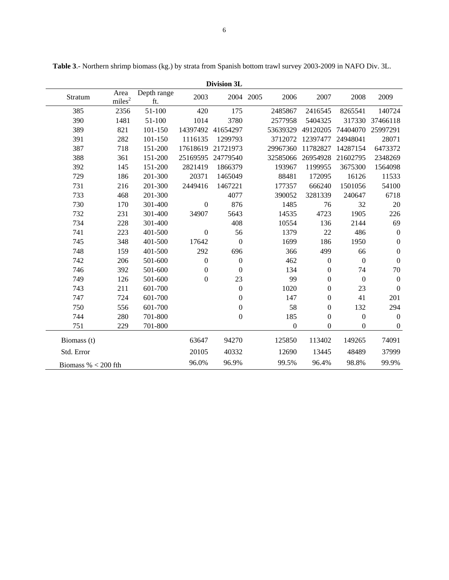|                       | <b>Division 3L</b><br>Depth range<br>Area<br>2003<br>2004 2005<br>2006<br>2007<br>2008<br>2009<br>Stratum<br>miles <sup>2</sup><br>ft.<br>385<br>420<br>175<br>2356<br>51-100<br>2485867<br>2416545<br>8265541<br>140724<br>390<br>1481<br>51-100<br>3780<br>5404325<br>317330<br>1014<br>2577958<br>37466118<br>389<br>821<br>101-150<br>14397492<br>41654297<br>49120205<br>74404070<br>25997291<br>53639329<br>391<br>282<br>28071<br>101-150<br>1116135<br>1299793<br>3712072<br>12397477<br>24948041<br>387<br>718<br>151-200<br>17618619<br>21721973<br>29967360<br>11782827<br>14287154<br>6473372<br>388<br>151-200<br>25169595<br>24779540<br>32585066<br>26954928<br>2348269<br>361<br>21602795 |         |                  |                  |  |                  |                  |                  |                  |
|-----------------------|-----------------------------------------------------------------------------------------------------------------------------------------------------------------------------------------------------------------------------------------------------------------------------------------------------------------------------------------------------------------------------------------------------------------------------------------------------------------------------------------------------------------------------------------------------------------------------------------------------------------------------------------------------------------------------------------------------------|---------|------------------|------------------|--|------------------|------------------|------------------|------------------|
|                       |                                                                                                                                                                                                                                                                                                                                                                                                                                                                                                                                                                                                                                                                                                           |         |                  |                  |  |                  |                  |                  |                  |
|                       |                                                                                                                                                                                                                                                                                                                                                                                                                                                                                                                                                                                                                                                                                                           |         |                  |                  |  |                  |                  |                  |                  |
|                       |                                                                                                                                                                                                                                                                                                                                                                                                                                                                                                                                                                                                                                                                                                           |         |                  |                  |  |                  |                  |                  |                  |
|                       |                                                                                                                                                                                                                                                                                                                                                                                                                                                                                                                                                                                                                                                                                                           |         |                  |                  |  |                  |                  |                  |                  |
|                       |                                                                                                                                                                                                                                                                                                                                                                                                                                                                                                                                                                                                                                                                                                           |         |                  |                  |  |                  |                  |                  |                  |
|                       |                                                                                                                                                                                                                                                                                                                                                                                                                                                                                                                                                                                                                                                                                                           |         |                  |                  |  |                  |                  |                  |                  |
|                       |                                                                                                                                                                                                                                                                                                                                                                                                                                                                                                                                                                                                                                                                                                           |         |                  |                  |  |                  |                  |                  |                  |
| 392                   | 145                                                                                                                                                                                                                                                                                                                                                                                                                                                                                                                                                                                                                                                                                                       | 151-200 | 2821419          | 1866379          |  | 193967           | 1199955          | 3675300          | 1564098          |
| 729                   | 186                                                                                                                                                                                                                                                                                                                                                                                                                                                                                                                                                                                                                                                                                                       | 201-300 | 20371            | 1465049          |  | 88481            | 172095           | 16126            | 11533            |
| 731                   | 216                                                                                                                                                                                                                                                                                                                                                                                                                                                                                                                                                                                                                                                                                                       | 201-300 | 2449416          | 1467221          |  | 177357           | 666240           | 1501056          | 54100            |
| 733                   | 468                                                                                                                                                                                                                                                                                                                                                                                                                                                                                                                                                                                                                                                                                                       | 201-300 |                  | 4077             |  | 390052           | 3281339          | 240647           | 6718             |
| 730                   | 170                                                                                                                                                                                                                                                                                                                                                                                                                                                                                                                                                                                                                                                                                                       | 301-400 | $\boldsymbol{0}$ | 876              |  | 1485             | 76               | 32               | 20               |
| 732                   | 231                                                                                                                                                                                                                                                                                                                                                                                                                                                                                                                                                                                                                                                                                                       | 301-400 | 34907            | 5643             |  | 14535            | 4723             | 1905             | 226              |
| 734                   | 228                                                                                                                                                                                                                                                                                                                                                                                                                                                                                                                                                                                                                                                                                                       | 301-400 |                  | 408              |  | 10554            | 136              | 2144             | 69               |
| 741                   | 223                                                                                                                                                                                                                                                                                                                                                                                                                                                                                                                                                                                                                                                                                                       | 401-500 | $\boldsymbol{0}$ | 56               |  | 1379             | 22               | 486              | $\boldsymbol{0}$ |
| 745                   | 348                                                                                                                                                                                                                                                                                                                                                                                                                                                                                                                                                                                                                                                                                                       | 401-500 | 17642            | $\mathbf{0}$     |  | 1699             | 186              | 1950             | $\boldsymbol{0}$ |
| 748                   | 159                                                                                                                                                                                                                                                                                                                                                                                                                                                                                                                                                                                                                                                                                                       | 401-500 | 292              | 696              |  | 366              | 499              | 66               | $\boldsymbol{0}$ |
| 742                   | 206                                                                                                                                                                                                                                                                                                                                                                                                                                                                                                                                                                                                                                                                                                       | 501-600 | $\boldsymbol{0}$ | $\boldsymbol{0}$ |  | 462              | $\boldsymbol{0}$ | $\boldsymbol{0}$ | $\boldsymbol{0}$ |
| 746                   | 392                                                                                                                                                                                                                                                                                                                                                                                                                                                                                                                                                                                                                                                                                                       | 501-600 | $\boldsymbol{0}$ | $\boldsymbol{0}$ |  | 134              | $\boldsymbol{0}$ | 74               | 70               |
| 749                   | 126                                                                                                                                                                                                                                                                                                                                                                                                                                                                                                                                                                                                                                                                                                       | 501-600 | $\boldsymbol{0}$ | 23               |  | 99               | $\boldsymbol{0}$ | $\boldsymbol{0}$ | $\boldsymbol{0}$ |
| 743                   | 211                                                                                                                                                                                                                                                                                                                                                                                                                                                                                                                                                                                                                                                                                                       | 601-700 |                  | $\mathbf{0}$     |  | 1020             | $\boldsymbol{0}$ | 23               | $\boldsymbol{0}$ |
| 747                   | 724                                                                                                                                                                                                                                                                                                                                                                                                                                                                                                                                                                                                                                                                                                       | 601-700 |                  | $\mathbf{0}$     |  | 147              | $\boldsymbol{0}$ | 41               | 201              |
| 750                   | 556                                                                                                                                                                                                                                                                                                                                                                                                                                                                                                                                                                                                                                                                                                       | 601-700 |                  | $\boldsymbol{0}$ |  | 58               | $\boldsymbol{0}$ | 132              | 294              |
| 744                   | 280                                                                                                                                                                                                                                                                                                                                                                                                                                                                                                                                                                                                                                                                                                       | 701-800 |                  | $\boldsymbol{0}$ |  | 185              | $\boldsymbol{0}$ | $\boldsymbol{0}$ | $\boldsymbol{0}$ |
| 751                   | 229                                                                                                                                                                                                                                                                                                                                                                                                                                                                                                                                                                                                                                                                                                       | 701-800 |                  |                  |  | $\boldsymbol{0}$ | $\mathbf{0}$     | $\boldsymbol{0}$ | $\boldsymbol{0}$ |
| Biomass (t)           |                                                                                                                                                                                                                                                                                                                                                                                                                                                                                                                                                                                                                                                                                                           |         | 63647            | 94270            |  | 125850           | 113402           | 149265           | 74091            |
| Std. Error            |                                                                                                                                                                                                                                                                                                                                                                                                                                                                                                                                                                                                                                                                                                           |         | 20105            | 40332            |  | 12690            | 13445            | 48489            | 37999            |
| Biomass % $<$ 200 fth |                                                                                                                                                                                                                                                                                                                                                                                                                                                                                                                                                                                                                                                                                                           |         | 96.0%            | 96.9%            |  | 99.5%            | 96.4%            | 98.8%            | 99.9%            |

**Table 3**.- Northern shrimp biomass (kg.) by strata from Spanish bottom trawl survey 2003-2009 in NAFO Div. 3L.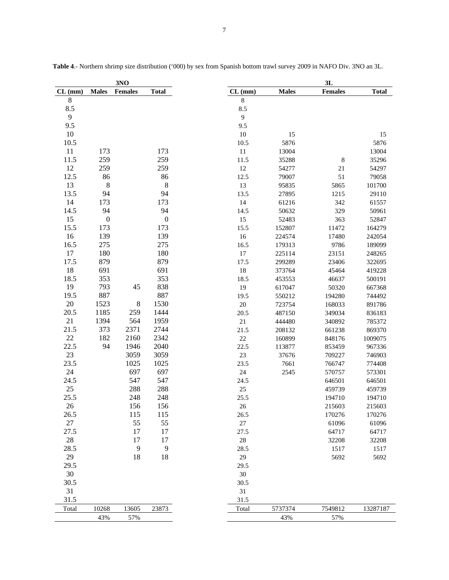|           |                  | 3NO            |                  |                |              | 3L             |              |
|-----------|------------------|----------------|------------------|----------------|--------------|----------------|--------------|
| $CL$ (mm) | <b>Males</b>     | <b>Females</b> | <b>Total</b>     | $CL$ (mm)      | <b>Males</b> | <b>Females</b> | <b>Total</b> |
| $8\,$     |                  |                |                  | 8              |              |                |              |
| 8.5       |                  |                |                  | 8.5            |              |                |              |
| 9         |                  |                |                  | $\overline{9}$ |              |                |              |
| 9.5       |                  |                |                  | 9.5            |              |                |              |
| 10        |                  |                |                  | 10             | 15           |                | 15           |
| 10.5      |                  |                |                  | 10.5           | 5876         |                | 5876         |
| 11        | 173              |                | 173              | 11             | 13004        |                | 13004        |
| 11.5      | 259              |                | 259              | 11.5           | 35288        | $\,$ 8 $\,$    | 35296        |
| 12        | 259              |                | 259              | $12\,$         | 54277        | 21             | 54297        |
| 12.5      | 86               |                | 86               | 12.5           | 79007        | 51             | 79058        |
| 13        | $\,8\,$          |                | $\,8\,$          | 13             | 95835        | 5865           | 101700       |
| 13.5      | 94               |                | 94               | 13.5           | 27895        | 1215           | 29110        |
| 14        | 173              |                | 173              | 14             | 61216        | 342            | 61557        |
| 14.5      | 94               |                | 94               | 14.5           | 50632        | 329            | 50961        |
| 15        | $\boldsymbol{0}$ |                | $\boldsymbol{0}$ | 15             | 52483        | 363            | 52847        |
| 15.5      | 173              |                | 173              | 15.5           | 152807       | 11472          | 164279       |
| 16        | 139              |                | 139              | 16             | 224574       | 17480          | 242054       |
| 16.5      | 275              |                | 275              | 16.5           | 179313       | 9786           | 189099       |
| 17        | 180              |                | 180              | $17\,$         | 225114       | 23151          | 248265       |
| 17.5      | 879              |                | 879              | 17.5           | 299289       | 23406          | 322695       |
| 18        | 691              |                | 691              | $18\,$         | 373764       | 45464          | 419228       |
| 18.5      | 353              |                | 353              | 18.5           | 453553       | 46637          | 500191       |
| 19        | 793              | 45             | 838              | 19             | 617047       | 50320          | 667368       |
| 19.5      | 887              |                | 887              | 19.5           | 550212       | 194280         | 744492       |
| 20        | 1523             | $\,8\,$        | 1530             | $20\,$         | 723754       | 168033         | 891786       |
| 20.5      | 1185             | 259            | 1444             | 20.5           | 487150       | 349034         | 836183       |
| 21        | 1394             | 564            | 1959             | $21\,$         | 444480       | 340892         | 785372       |
| 21.5      | 373              | 2371           | 2744             | 21.5           | 208132       | 661238         | 869370       |
| 22        | 182              | 2160           | 2342             | $22\,$         | 160899       | 848176         | 1009075      |
| 22.5      | 94               | 1946           | 2040             | 22.5           | 113877       | 853459         | 967336       |
| 23        |                  | 3059           | 3059             | $23\,$         | 37676        | 709227         | 746903       |
| 23.5      |                  | 1025           | 1025             | 23.5           |              | 766747         | 774408       |
| 24        |                  | 697            | 697              | $24\,$         | 7661         | 570757         |              |
| 24.5      |                  | 547            | 547              |                | 2545         |                | 573301       |
| $25\,$    |                  | 288            |                  | 24.5           |              | 646501         | 646501       |
|           |                  |                | 288              | $25\,$         |              | 459739         | 459739       |
| 25.5      |                  | 248            | 248              | 25.5           |              | 194710         | 194710       |
| 26        |                  | 156            | 156              | 26             |              | 215603         | 215603       |
| 26.5      |                  | 115            | 115              | 26.5           |              | 170276         | 170276       |
| 27        |                  | 55             | 55               | $27\,$         |              | 61096          | 61096        |
| 27.5      |                  | 17             | 17               | 27.5           |              | 64717          | 64717        |
| 28        |                  | 17             | 17               | $28\,$         |              | 32208          | 32208        |
| 28.5      |                  | 9              | 9                | 28.5           |              | 1517           | 1517         |
| 29        |                  | 18             | 18               | 29             |              | 5692           | 5692         |
| 29.5      |                  |                |                  | 29.5           |              |                |              |
| 30        |                  |                |                  | 30             |              |                |              |
| 30.5      |                  |                |                  | 30.5           |              |                |              |
| 31        |                  |                |                  | 31             |              |                |              |
| 31.5      |                  |                |                  | 31.5           |              |                |              |
| Total     | 10268            | 13605          | 23873            | Total          | 5737374      | 7549812        | 13287187     |
|           | 43%              | 57%            |                  |                | 43%          | 57%            |              |

**Table 4**.- Northern shrimp size distribution ('000) by sex from Spanish bottom trawl survey 2009 in NAFO Div. 3NO an 3L.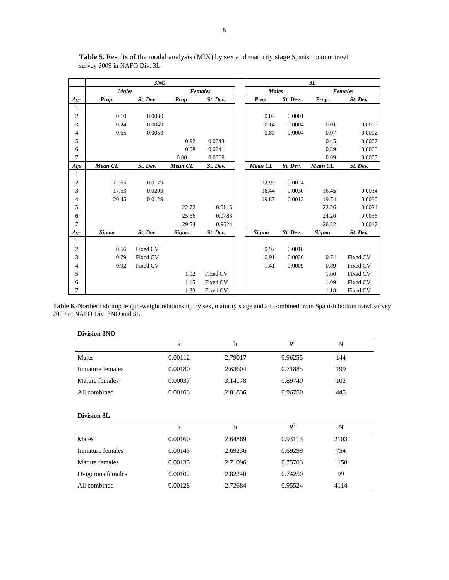|                         |              | 3NO      |         |                |              |          | 3L      |                |
|-------------------------|--------------|----------|---------|----------------|--------------|----------|---------|----------------|
|                         | <b>Males</b> |          |         | <b>Females</b> | <b>Males</b> |          |         | <b>Females</b> |
| Age                     | Prop.        | St. Dev. | Prop.   | St. Dev.       | Prop.        | St. Dev. | Prop.   | St. Dev.       |
| $\mathbf{1}$            |              |          |         |                |              |          |         |                |
| $\boldsymbol{2}$        | 0.10         | 0.0030   |         |                | 0.07         | 0.0001   |         |                |
| 3                       | 0.24         | 0.0049   |         |                | 0.14         | 0.0004   | 0.01    | 0.0000         |
| 4                       | 0.65         | 0.0053   |         |                | 0.80         | 0.0004   | 0.07    | 0.0002         |
| 5                       |              |          | 0.92    | 0.0043         |              |          | 0.45    | 0.0007         |
| 6                       |              |          | 0.08    | 0.0041         |              |          | 0.39    | 0.0006         |
| 7                       |              |          | 0.00    | 0.0008         |              |          | 0.09    | 0.0005         |
| Age                     | Mean CL      | St. Dev. | Mean CL | St. Dev.       | Mean CL      | St. Dev. | Mean CL | St. Dev.       |
| $\mathbf{1}$            |              |          |         |                |              |          |         |                |
| $\overline{\mathbf{c}}$ | 12.55        | 0.0179   |         |                | 12.99        | 0.0024   |         |                |
| 3                       | 17.53        | 0.0209   |         |                | 16.44        | 0.0030   | 16.45   | 0.0034         |
| $\overline{4}$          | 20.45        | 0.0129   |         |                | 19.87        | 0.0013   | 19.74   | 0.0030         |
| 5                       |              |          | 22.72   | 0.0115         |              |          | 22.26   | 0.0021         |
| 6                       |              |          | 25.56   | 0.0788         |              |          | 24.20   | 0.0036         |
| 7                       |              |          | 29.54   | 0.9624         |              |          | 26.22   | 0.0047         |
| Age                     | <b>Sigma</b> | St. Dev. | Sigma   | St. Dev.       | Sigma        | St. Dev. | Sigma   | St. Dev.       |
| $\mathbf{1}$            |              |          |         |                |              |          |         |                |
| $\mathfrak{2}$          | 0.56         | Fixed CV |         |                | 0.92         | 0.0018   |         |                |
| 3                       | 0.79         | Fixed CV |         |                | 0.91         | 0.0026   | 0.74    | Fixed CV       |
| 4                       | 0.92         | Fixed CV |         |                | 1.41         | 0.0009   | 0.89    | Fixed CV       |
| 5                       |              |          | 1.02    | Fixed CV       |              |          | 1.00    | Fixed CV       |
| 6                       |              |          | 1.15    | Fixed CV       |              |          | 1.09    | Fixed CV       |
| 7                       |              |          | 1.33    | Fixed CV       |              |          | 1.18    | Fixed CV       |

**Table 5.** Results of the modal analysis (MIX) by sex and maturity stage Spanish bottom trawl survey 2009 in NAFO Div. 3L.

**Table 6**.-Northern shrimp length-weight relationship by sex, maturity stage and all combined from Spanish bottom trawl survey 2009 in NAFO Div. 3NO and 3L

## **Division 3NO**

|                  | a       | h       | $R^2$   | N   |  |
|------------------|---------|---------|---------|-----|--|
| Males            | 0.00112 | 2.79017 | 0.96255 | 144 |  |
| Inmature females | 0.00180 | 2.63604 | 0.71885 | 199 |  |
| Mature females   | 0.00037 | 3.14178 | 0.89740 | 102 |  |
| All combined     | 0.00103 | 2.81836 | 0.96750 | 445 |  |

### **Division 3L**

|                   | a       | b       | $R^2$   | N    |  |
|-------------------|---------|---------|---------|------|--|
| Males             | 0.00160 | 2.64869 | 0.93115 | 2103 |  |
| Inmature females  | 0.00143 | 2.69236 | 0.69299 | 754  |  |
| Mature females    | 0.00135 | 2.71096 | 0.75703 | 1158 |  |
| Ovigerous females | 0.00102 | 2.82240 | 0.74250 | 99   |  |
| All combined      | 0.00128 | 2.72684 | 0.95524 | 4114 |  |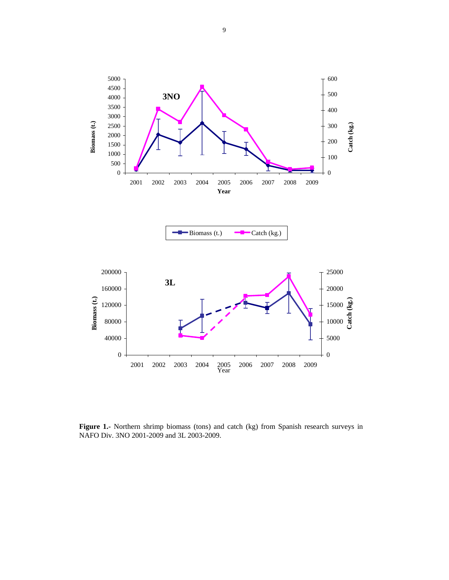

**Figure 1.-** Northern shrimp biomass (tons) and catch (kg) from Spanish research surveys in NAFO Div. 3NO 2001-2009 and 3L 2003-2009.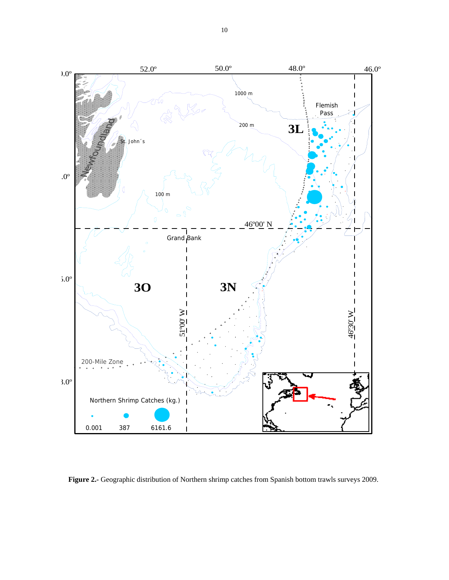

**Figure 2.-** Geographic distribution of Northern shrimp catches from Spanish bottom trawls surveys 2009.